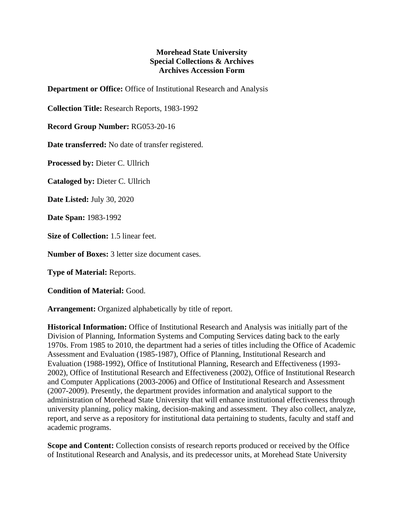## **Morehead State University Special Collections & Archives Archives Accession Form**

**Department or Office:** Office of Institutional Research and Analysis

**Collection Title:** Research Reports, 1983-1992

**Record Group Number:** RG053-20-16

**Date transferred:** No date of transfer registered.

**Processed by:** Dieter C. Ullrich

**Cataloged by:** Dieter C. Ullrich

**Date Listed:** July 30, 2020

**Date Span:** 1983-1992

**Size of Collection:** 1.5 linear feet.

**Number of Boxes:** 3 letter size document cases.

**Type of Material:** Reports.

**Condition of Material:** Good.

**Arrangement:** Organized alphabetically by title of report.

**Historical Information:** Office of Institutional Research and Analysis was initially part of the Division of Planning, Information Systems and Computing Services dating back to the early 1970s. From 1985 to 2010, the department had a series of titles including the Office of Academic Assessment and Evaluation (1985-1987), Office of Planning, Institutional Research and Evaluation (1988-1992), Office of Institutional Planning, Research and Effectiveness (1993- 2002), Office of Institutional Research and Effectiveness (2002), Office of Institutional Research and Computer Applications (2003-2006) and Office of Institutional Research and Assessment (2007-2009). Presently, the department provides information and analytical support to the administration of Morehead State University that will enhance institutional effectiveness through university planning, policy making, decision-making and assessment. They also collect, analyze, report, and serve as a repository for institutional data pertaining to students, faculty and staff and academic programs.

**Scope and Content:** Collection consists of research reports produced or received by the Office of Institutional Research and Analysis, and its predecessor units, at Morehead State University